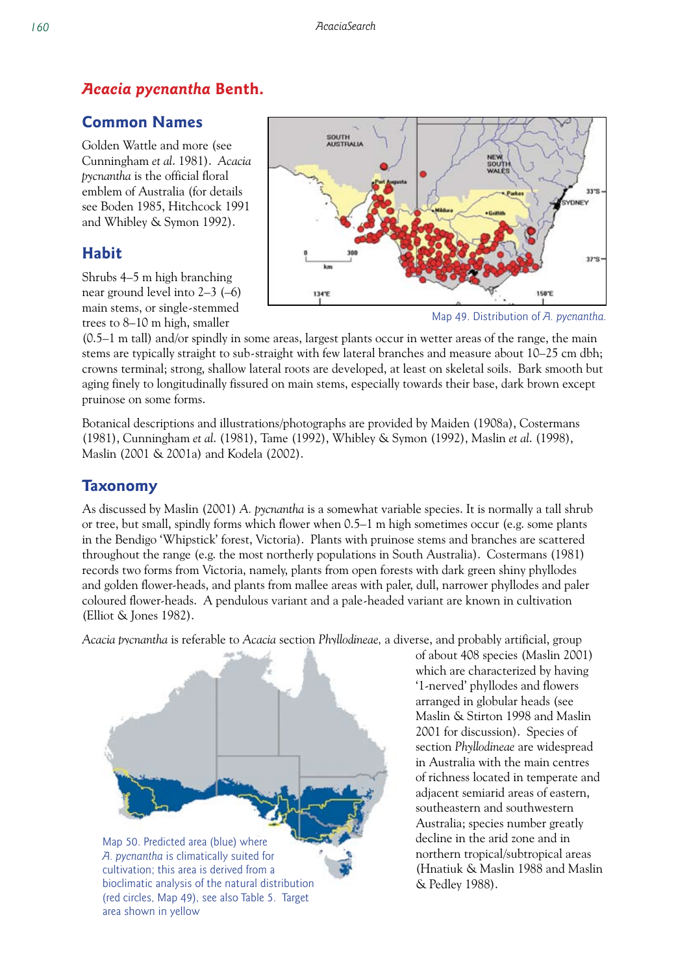## *Acacia pycnantha* **Benth.**

# **Common Names**

Golden Wattle and more (see Cunningham *et al*. 1981). *Acacia pycnantha* is the official floral emblem of Australia (for details see Boden 1985, Hitchcock 1991 and Whibley & Symon 1992).

# **Habit**

Shrubs 4–5 m high branching near ground level into 2–3 (–6) main stems, or single-stemmed trees to 8–10 m high, smaller





(0.5–1 m tall) and/or spindly in some areas, largest plants occur in wetter areas of the range, the main stems are typically straight to sub-straight with few lateral branches and measure about 10–25 cm dbh; crowns terminal; strong, shallow lateral roots are developed, at least on skeletal soils. Bark smooth but aging finely to longitudinally fissured on main stems, especially towards their base, dark brown except pruinose on some forms.

Botanical descriptions and illustrations/photographs are provided by Maiden (1908a), Costermans (1981), Cunningham *et al*. (1981), Tame (1992), Whibley & Symon (1992), Maslin *et al*. (1998), Maslin (2001 & 2001a) and Kodela (2002).

# **Taxonomy**

As discussed by Maslin (2001) *A. pycnantha* is a somewhat variable species. It is normally a tall shrub or tree, but small, spindly forms which flower when 0.5–1 m high sometimes occur (e.g. some plants in the Bendigo 'Whipstick' forest, Victoria). Plants with pruinose stems and branches are scattered throughout the range (e.g. the most northerly populations in South Australia). Costermans (1981) records two forms from Victoria, namely, plants from open forests with dark green shiny phyllodes and golden flower-heads, and plants from mallee areas with paler, dull, narrower phyllodes and paler coloured flower-heads. A pendulous variant and a pale-headed variant are known in cultivation (Elliot & Jones 1982).

*Acacia pycnantha* is referable to *Acacia* section *Phyllodineae,* a diverse, and probably artificial, group

Map 50. Predicted area (blue) where *A. pycnantha* is climatically suited for cultivation; this area is derived from a bioclimatic analysis of the natural distribution (red circles, Map 49), see also Table 5. Target area shown in yellow

of about 408 species (Maslin 2001) which are characterized by having '1-nerved' phyllodes and flowers arranged in globular heads (see Maslin & Stirton 1998 and Maslin 2001 for discussion). Species of section *Phyllodineae* are widespread in Australia with the main centres of richness located in temperate and adjacent semiarid areas of eastern, southeastern and southwestern Australia; species number greatly decline in the arid zone and in northern tropical/subtropical areas (Hnatiuk & Maslin 1988 and Maslin & Pedley 1988).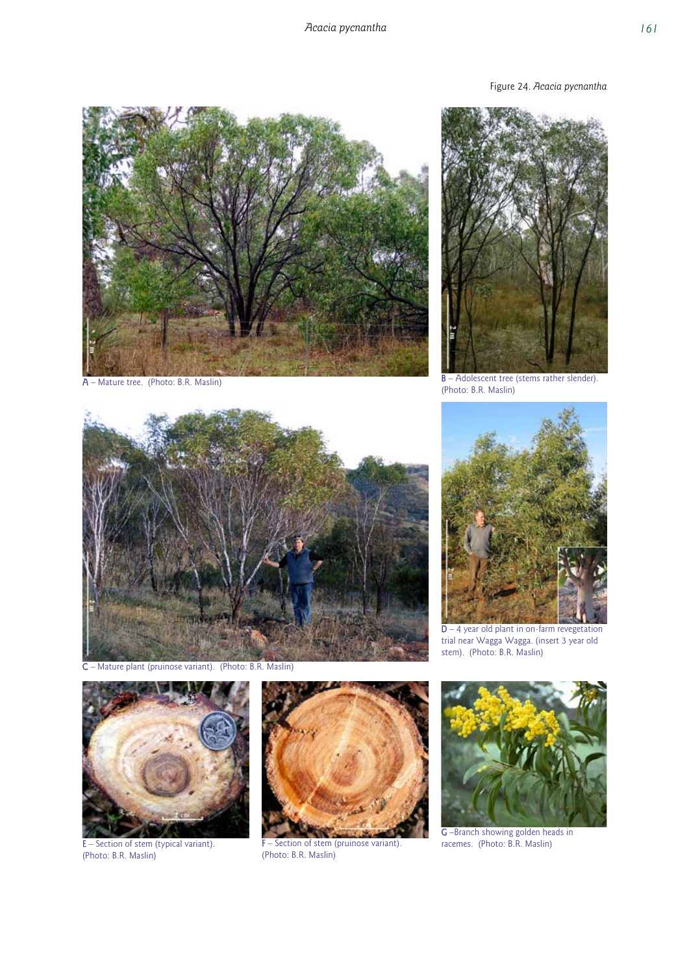Figure 24. *Acacia pycnantha* 





A – Mature tree. (Photo: B.R. Maslin) B – Adolescent tree (stems rather slender). (Photo: B.R. Maslin)



C – Mature plant (pruinose variant). (Photo: B.R. Maslin)



 $D - 4$  year old plant in on-farm revegetation trial near Wagga Wagga. (insert 3 year old stem). (Photo: B.R. Maslin)



E – Section of stem (typical variant). (Photo: B.R. Maslin)



**F** – Section of stem (pruinose variant). (Photo: B.R. Maslin)



G –Branch showing golden heads in racemes. (Photo: B.R. Maslin)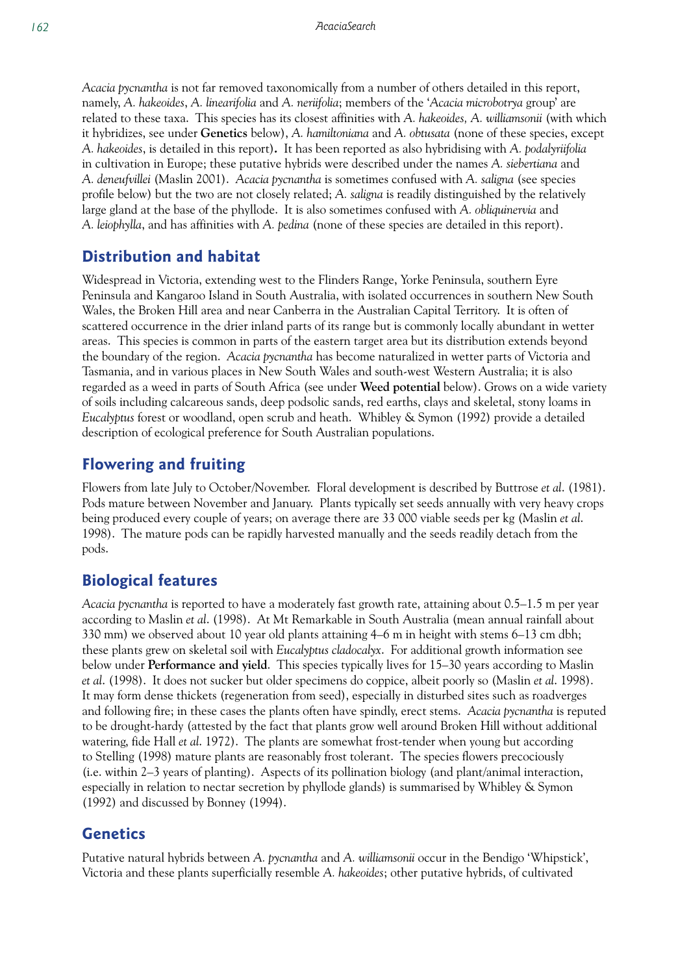*Acacia pycnantha* is not far removed taxonomically from a number of others detailed in this report, namely, *A. hakeoides*, *A. linearifolia* and *A. neriifolia*; members of the '*Acacia microbotrya* group' are related to these taxa. This species has its closest affinities with *A. hakeoides, A. williamsonii* (with which it hybridizes, see under **Genetics** below), *A. hamiltoniana* and *A. obtusata* (none of these species, except *A. hakeoides*, is detailed in this report)*.* It has been reported as also hybridising with *A. podalyriifolia* in cultivation in Europe; these putative hybrids were described under the names *A. siebertiana* and *A. deneufvillei* (Maslin 2001). *Acacia pycnantha* is sometimes confused with *A. saligna* (see species profile below) but the two are not closely related; *A. saligna* is readily distinguished by the relatively large gland at the base of the phyllode. It is also sometimes confused with *A. obliquinervia* and *A. leiophylla*, and has affinities with *A. pedina* (none of these species are detailed in this report).

## **Distribution and habitat**

Widespread in Victoria, extending west to the Flinders Range, Yorke Peninsula, southern Eyre Peninsula and Kangaroo Island in South Australia, with isolated occurrences in southern New South Wales, the Broken Hill area and near Canberra in the Australian Capital Territory. It is often of scattered occurrence in the drier inland parts of its range but is commonly locally abundant in wetter areas. This species is common in parts of the eastern target area but its distribution extends beyond the boundary of the region. *Acacia pycnantha* has become naturalized in wetter parts of Victoria and Tasmania, and in various places in New South Wales and south-west Western Australia; it is also regarded as a weed in parts of South Africa (see under **Weed potential** below). Grows on a wide variety of soils including calcareous sands, deep podsolic sands, red earths, clays and skeletal, stony loams in *Eucalyptus* forest or woodland, open scrub and heath. Whibley & Symon (1992) provide a detailed description of ecological preference for South Australian populations.

## **Flowering and fruiting**

Flowers from late July to October/November. Floral development is described by Buttrose *et al*. (1981). Pods mature between November and January. Plants typically set seeds annually with very heavy crops being produced every couple of years; on average there are 33 000 viable seeds per kg (Maslin *et al*. 1998). The mature pods can be rapidly harvested manually and the seeds readily detach from the pods.

## **Biological features**

*Acacia pycnantha* is reported to have a moderately fast growth rate, attaining about 0.5–1.5 m per year according to Maslin *et al*. (1998). At Mt Remarkable in South Australia (mean annual rainfall about 330 mm) we observed about 10 year old plants attaining 4–6 m in height with stems 6–13 cm dbh; these plants grew on skeletal soil with *Eucalyptus cladocalyx*. For additional growth information see below under **Performance and yield**. This species typically lives for 15–30 years according to Maslin *et al*. (1998). It does not sucker but older specimens do coppice, albeit poorly so (Maslin *et al*. 1998). It may form dense thickets (regeneration from seed), especially in disturbed sites such as roadverges and following fire; in these cases the plants often have spindly, erect stems. *Acacia pycnantha* is reputed to be drought-hardy (attested by the fact that plants grow well around Broken Hill without additional watering, fide Hall *et al*. 1972). The plants are somewhat frost-tender when young but according to Stelling (1998) mature plants are reasonably frost tolerant. The species flowers precociously (i.e. within 2–3 years of planting). Aspects of its pollination biology (and plant/animal interaction, especially in relation to nectar secretion by phyllode glands) is summarised by Whibley & Symon (1992) and discussed by Bonney (1994).

## **Genetics**

Putative natural hybrids between *A. pycnantha* and *A. williamsonii* occur in the Bendigo 'Whipstick', Victoria and these plants superficially resemble *A. hakeoides*; other putative hybrids, of cultivated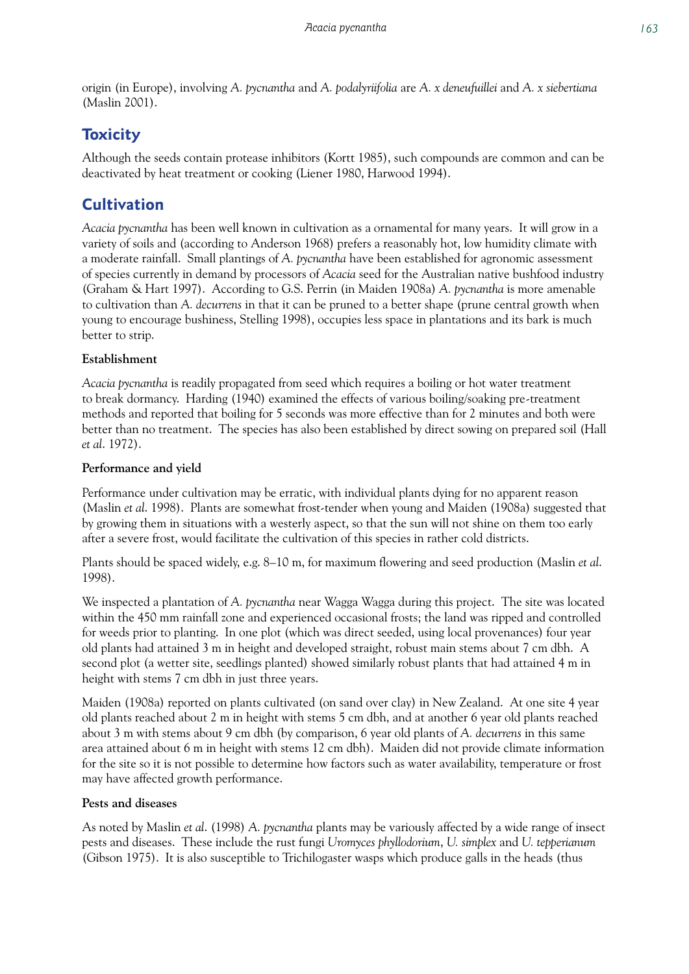origin (in Europe), involving *A. pycnantha* and *A. podalyriifolia* are *A. x deneufuillei* and *A. x siebertiana* (Maslin 2001).

# **Toxicity**

Although the seeds contain protease inhibitors (Kortt 1985), such compounds are common and can be deactivated by heat treatment or cooking (Liener 1980, Harwood 1994).

# **Cultivation**

*Acacia pycnantha* has been well known in cultivation as a ornamental for many years. It will grow in a variety of soils and (according to Anderson 1968) prefers a reasonably hot, low humidity climate with a moderate rainfall. Small plantings of *A. pycnantha* have been established for agronomic assessment of species currently in demand by processors of *Acacia* seed for the Australian native bushfood industry (Graham & Hart 1997). According to G.S. Perrin (in Maiden 1908a) *A. pycnantha* is more amenable to cultivation than *A. decurrens* in that it can be pruned to a better shape (prune central growth when young to encourage bushiness, Stelling 1998), occupies less space in plantations and its bark is much better to strip.

## **Establishment**

*Acacia pycnantha* is readily propagated from seed which requires a boiling or hot water treatment to break dormancy. Harding (1940) examined the effects of various boiling/soaking pre-treatment methods and reported that boiling for 5 seconds was more effective than for 2 minutes and both were better than no treatment. The species has also been established by direct sowing on prepared soil (Hall *et al*. 1972).

## **Performance and yield**

Performance under cultivation may be erratic, with individual plants dying for no apparent reason (Maslin *et al*. 1998). Plants are somewhat frost-tender when young and Maiden (1908a) suggested that by growing them in situations with a westerly aspect, so that the sun will not shine on them too early after a severe frost, would facilitate the cultivation of this species in rather cold districts.

Plants should be spaced widely, e.g. 8–10 m, for maximum flowering and seed production (Maslin *et al*. 1998).

We inspected a plantation of *A. pycnantha* near Wagga Wagga during this project. The site was located within the 450 mm rainfall zone and experienced occasional frosts; the land was ripped and controlled for weeds prior to planting. In one plot (which was direct seeded, using local provenances) four year old plants had attained 3 m in height and developed straight, robust main stems about 7 cm dbh. A second plot (a wetter site, seedlings planted) showed similarly robust plants that had attained 4 m in height with stems 7 cm dbh in just three years.

Maiden (1908a) reported on plants cultivated (on sand over clay) in New Zealand. At one site 4 year old plants reached about 2 m in height with stems 5 cm dbh, and at another 6 year old plants reached about 3 m with stems about 9 cm dbh (by comparison, 6 year old plants of *A. decurrens* in this same area attained about 6 m in height with stems 12 cm dbh). Maiden did not provide climate information for the site so it is not possible to determine how factors such as water availability, temperature or frost may have affected growth performance.

## **Pests and diseases**

As noted by Maslin *et al*. (1998) *A. pycnantha* plants may be variously affected by a wide range of insect pests and diseases. These include the rust fungi *Uromyces phyllodorium*, *U. simplex* and *U. tepperianum* (Gibson 1975). It is also susceptible to Trichilogaster wasps which produce galls in the heads (thus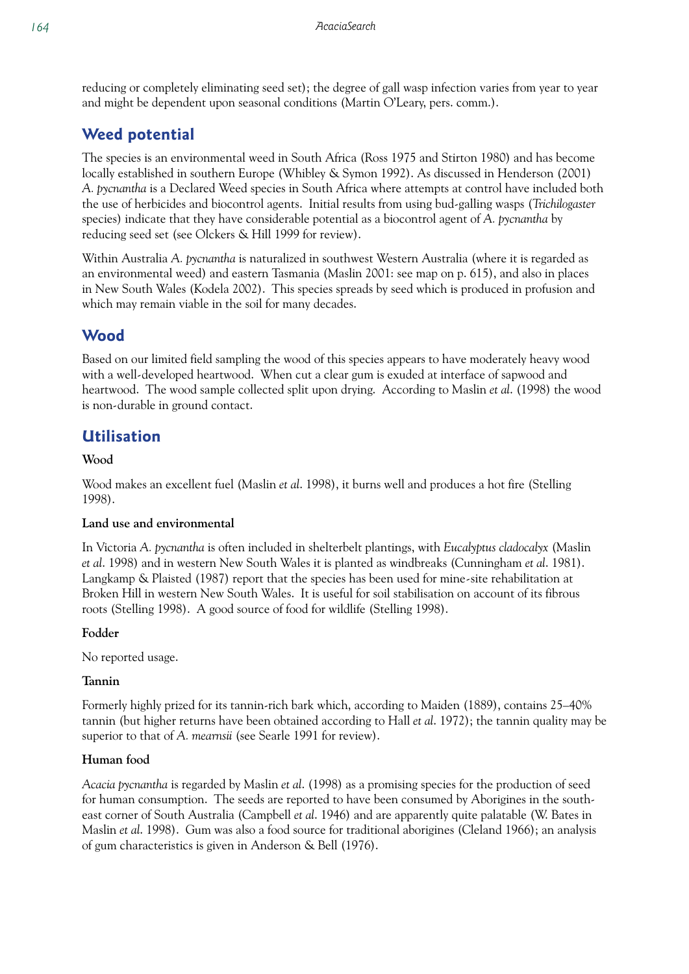reducing or completely eliminating seed set); the degree of gall wasp infection varies from year to year and might be dependent upon seasonal conditions (Martin O'Leary, pers. comm.).

# **Weed potential**

The species is an environmental weed in South Africa (Ross 1975 and Stirton 1980) and has become locally established in southern Europe (Whibley & Symon 1992). As discussed in Henderson (2001) *A. pycnantha* is a Declared Weed species in South Africa where attempts at control have included both the use of herbicides and biocontrol agents. Initial results from using bud-galling wasps (*Trichilogaster* species) indicate that they have considerable potential as a biocontrol agent of *A. pycnantha* by reducing seed set (see Olckers & Hill 1999 for review).

Within Australia *A. pycnantha* is naturalized in southwest Western Australia (where it is regarded as an environmental weed) and eastern Tasmania (Maslin 2001: see map on p. 615), and also in places in New South Wales (Kodela 2002). This species spreads by seed which is produced in profusion and which may remain viable in the soil for many decades.

# **Wood**

Based on our limited field sampling the wood of this species appears to have moderately heavy wood with a well-developed heartwood. When cut a clear gum is exuded at interface of sapwood and heartwood. The wood sample collected split upon drying. According to Maslin *et al*. (1998) the wood is non-durable in ground contact.

# **Utilisation**

### **Wood**

Wood makes an excellent fuel (Maslin *et al*. 1998), it burns well and produces a hot fire (Stelling 1998).

#### **Land use and environmental**

In Victoria *A. pycnantha* is often included in shelterbelt plantings, with *Eucalyptus cladocalyx* (Maslin *et al*. 1998) and in western New South Wales it is planted as windbreaks (Cunningham *et al*. 1981). Langkamp & Plaisted (1987) report that the species has been used for mine-site rehabilitation at Broken Hill in western New South Wales. It is useful for soil stabilisation on account of its fibrous roots (Stelling 1998). A good source of food for wildlife (Stelling 1998).

#### **Fodder**

No reported usage.

#### **Tannin**

Formerly highly prized for its tannin-rich bark which, according to Maiden (1889), contains 25–40% tannin (but higher returns have been obtained according to Hall *et al*. 1972); the tannin quality may be superior to that of *A. mearnsii* (see Searle 1991 for review).

#### **Human food**

*Acacia pycnantha* is regarded by Maslin *et al*. (1998) as a promising species for the production of seed for human consumption. The seeds are reported to have been consumed by Aborigines in the southeast corner of South Australia (Campbell *et al*. 1946) and are apparently quite palatable (W. Bates in Maslin *et al*. 1998). Gum was also a food source for traditional aborigines (Cleland 1966); an analysis of gum characteristics is given in Anderson & Bell (1976).